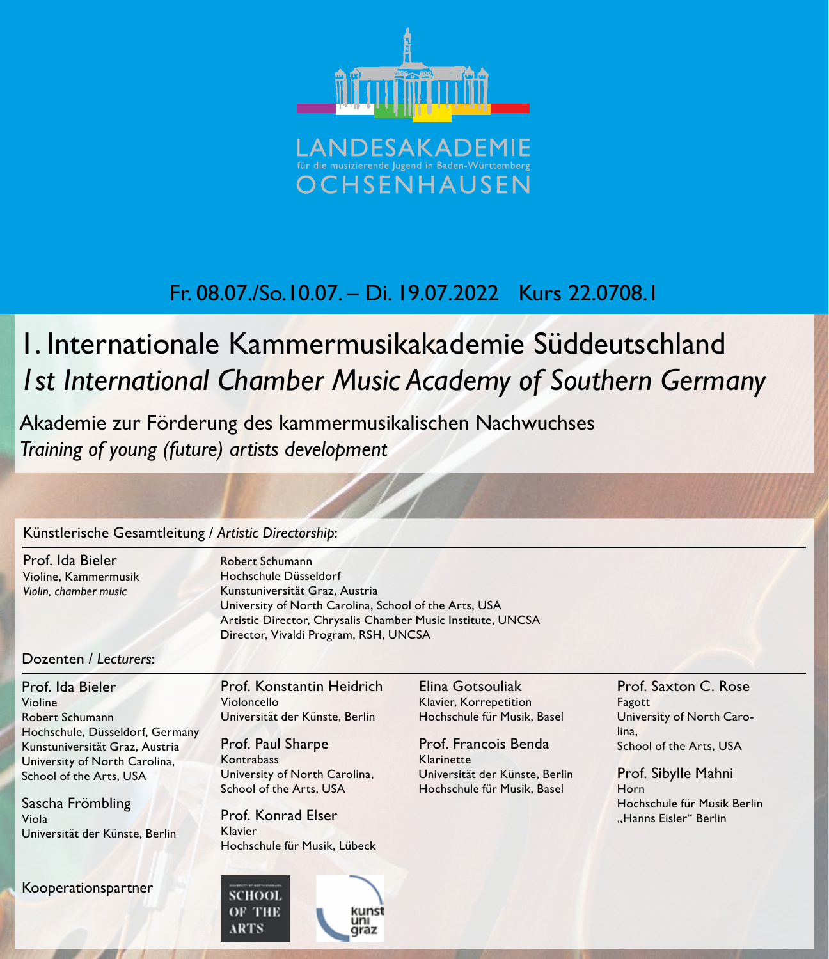

## Fr. 08.07./So.10.07. – Di. 19.07.2022 Kurs 22.0708.1

# 1. Internationale Kammermusikakademie Süddeutschland *1st International Chamber Music Academy of Southern Germany*

Akademie zur Förderung des kammermusikalischen Nachwuchses *Training of young (future) artists development*

#### Künstlerische Gesamtleitung / *Artistic Directorship*:

Prof. Ida Bieler Violine, Kammermusik *Violin, chamber music*

Robert Schumann Hochschule Düsseldorf Kunstuniversität Graz, Austria University of North Carolina, School of the Arts, USA Artistic Director, Chrysalis Chamber Music Institute, UNCSA Director, Vivaldi Program, RSH, UNCSA

#### Dozenten / *Lecturers*:

Prof. Ida Bieler Violine Robert Schumann Hochschule, Düsseldorf, Germany Kunstuniversität Graz, Austria University of North Carolina, School of the Arts, USA

Sascha Frömbling Viola Universität der Künste, Berlin

Kooperationspartner

Prof. Konstantin Heidrich Violoncello Universität der Künste, Berlin

Prof. Paul Sharpe Kontrabass University of North Carolina, School of the Arts, USA

Prof. Konrad Elser Klavier Hochschule für Musik, Lübeck

uni

**SCHOOL** OF THE

**ARTS** 

Elina Gotsouliak Klavier, Korrepetition Hochschule für Musik, Basel

Prof. Francois Benda Klarinette Universität der Künste, Berlin Hochschule für Musik, Basel

Prof. Saxton C. Rose Fagott University of North Carolina, School of the Arts, USA

Prof. Sibylle Mahni Horn Hochschule für Musik Berlin "Hanns Eisler" Berlin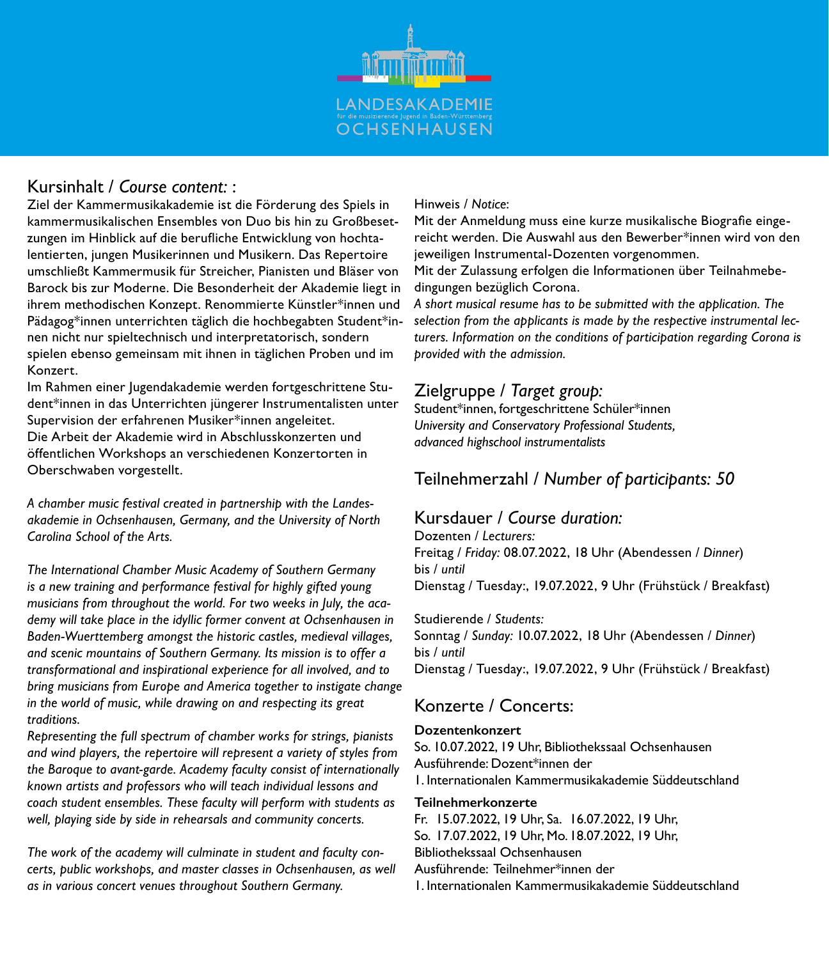

### Kursinhalt / *Course content:* :

Ziel der Kammermusikakademie ist die Förderung des Spiels in kammermusikalischen Ensembles von Duo bis hin zu Großbesetzungen im Hinblick auf die berufliche Entwicklung von hochtalentierten, jungen Musikerinnen und Musikern. Das Repertoire umschließt Kammermusik für Streicher, Pianisten und Bläser von Barock bis zur Moderne. Die Besonderheit der Akademie liegt in ihrem methodischen Konzept. Renommierte Künstler\*innen und Pädagog\*innen unterrichten täglich die hochbegabten Student\*innen nicht nur spieltechnisch und interpretatorisch, sondern spielen ebenso gemeinsam mit ihnen in täglichen Proben und im Konzert.

Im Rahmen einer Jugendakademie werden fortgeschrittene Student\*innen in das Unterrichten jüngerer Instrumentalisten unter Supervision der erfahrenen Musiker\*innen angeleitet. Die Arbeit der Akademie wird in Abschlusskonzerten und

öffentlichen Workshops an verschiedenen Konzertorten in Oberschwaben vorgestellt.

*A chamber music festival created in partnership with the Landesakademie in Ochsenhausen, Germany, and the University of North Carolina School of the Arts.*

*The International Chamber Music Academy of Southern Germany is a new training and performance festival for highly gifted young musicians from throughout the world. For two weeks in July, the academy will take place in the idyllic former convent at Ochsenhausen in Baden-Wuerttemberg amongst the historic castles, medieval villages, and scenic mountains of Southern Germany. Its mission is to offer a transformational and inspirational experience for all involved, and to bring musicians from Europe and America together to instigate change in the world of music, while drawing on and respecting its great traditions.*

*Representing the full spectrum of chamber works for strings, pianists and wind players, the repertoire will represent a variety of styles from the Baroque to avant-garde. Academy faculty consist of internationally known artists and professors who will teach individual lessons and coach student ensembles. These faculty will perform with students as well, playing side by side in rehearsals and community concerts.*

*The work of the academy will culminate in student and faculty concerts, public workshops, and master classes in Ochsenhausen, as well as in various concert venues throughout Southern Germany.*

#### Hinweis / *Notice*:

Mit der Anmeldung muss eine kurze musikalische Biografie eingereicht werden. Die Auswahl aus den Bewerber\*innen wird von den jeweiligen Instrumental-Dozenten vorgenommen.

Mit der Zulassung erfolgen die Informationen über Teilnahmebedingungen bezüglich Corona.

*A short musical resume has to be submitted with the application. The selection from the applicants is made by the respective instrumental lecturers. Information on the conditions of participation regarding Corona is provided with the admission.*

### Zielgruppe / *Target group:*

Student\*innen, fortgeschrittene Schüler\*innen *University and Conservatory Professional Students, advanced highschool instrumentalists*

### Teilnehmerzahl / *Number of participants: 50*

### Kursdauer / *Course duration:*

Dozenten / *Lecturers:* Freitag / *Friday:* 08.07.2022, 18 Uhr (Abendessen / *Dinner*) bis / *until*  Dienstag / Tuesday:, 19.07.2022, 9 Uhr (Frühstück / Breakfast)

#### Studierende / *Students:*

Sonntag / *Sunday:* 10.07.2022, 18 Uhr (Abendessen / *Dinner*) bis / *until*  Dienstag / Tuesday:, 19.07.2022, 9 Uhr (Frühstück / Breakfast)

### Konzerte / Concerts:

#### **Dozentenkonzert**

So. 10.07.2022, 19 Uhr, Bibliothekssaal Ochsenhausen Ausführende: Dozent\*innen der 1. Internationalen Kammermusikakademie Süddeutschland

#### **Teilnehmerkonzerte**

Fr. 15.07.2022, 19 Uhr, Sa. 16.07.2022, 19 Uhr,

So. 17.07.2022, 19 Uhr, Mo. 18.07.2022, 19 Uhr,

Bibliothekssaal Ochsenhausen

Ausführende: Teilnehmer\*innen der

1. Internationalen Kammermusikakademie Süddeutschland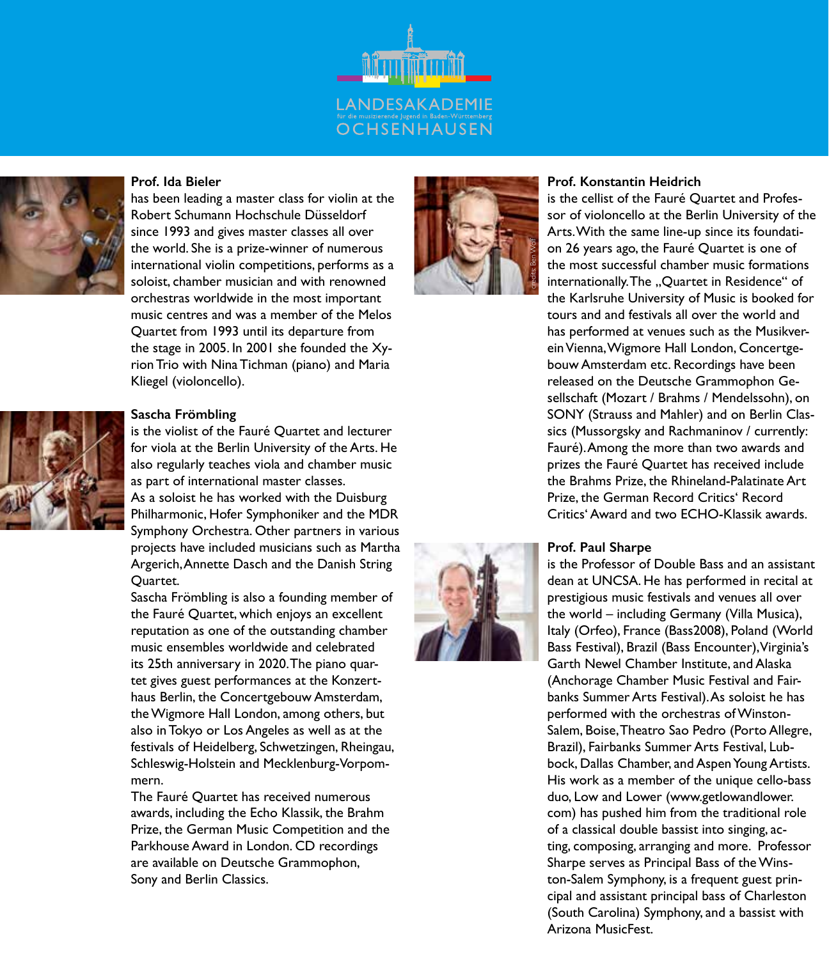

#### **Prof. Ida Bieler**



has been leading a master class for violin at the Robert Schumann Hochschule Düsseldorf since 1993 and gives master classes all over the world. She is a prize-winner of numerous international violin competitions, performs as a soloist, chamber musician and with renowned orchestras worldwide in the most important music centres and was a member of the Melos Quartet from 1993 until its departure from the stage in 2005. In 2001 she founded the Xyrion Trio with Nina Tichman (piano) and Maria Kliegel (violoncello).

#### **Sascha Frömbling**



is the violist of the Fauré Quartet and lecturer for viola at the Berlin University of the Arts. He also regularly teaches viola and chamber music as part of international master classes.

As a soloist he has worked with the Duisburg Philharmonic, Hofer Symphoniker and the MDR Symphony Orchestra. Other partners in various projects have included musicians such as Martha Argerich, Annette Dasch and the Danish String Quartet.

Sascha Frömbling is also a founding member of the Fauré Quartet, which enjoys an excellent reputation as one of the outstanding chamber music ensembles worldwide and celebrated its 25th anniversary in 2020. The piano quartet gives guest performances at the Konzerthaus Berlin, the Concertgebouw Amsterdam, the Wigmore Hall London, among others, but also in Tokyo or Los Angeles as well as at the festivals of Heidelberg, Schwetzingen, Rheingau, Schleswig-Holstein and Mecklenburg-Vorpommern.

The Fauré Quartet has received numerous awards, including the Echo Klassik, the Brahm Prize, the German Music Competition and the Parkhouse Award in London. CD recordings are available on Deutsche Grammophon, Sony and Berlin Classics.



#### **Prof. Konstantin Heidrich**

is the cellist of the Fauré Quartet and Professor of violoncello at the Berlin University of the Arts. With the same line-up since its foundation 26 years ago, the Fauré Quartet is one of the most successful chamber music formations internationally. The "Quartet in Residence" of the Karlsruhe University of Music is booked for tours and and festivals all over the world and has performed at venues such as the Musikverein Vienna, Wigmore Hall London, Concertgebouw Amsterdam etc. Recordings have been released on the Deutsche Grammophon Gesellschaft (Mozart / Brahms / Mendelssohn), on SONY (Strauss and Mahler) and on Berlin Classics (Mussorgsky and Rachmaninov / currently: Fauré). Among the more than two awards and prizes the Fauré Quartet has received include the Brahms Prize, the Rhineland-Palatinate Art Prize, the German Record Critics' Record Critics' Award and two ECHO-Klassik awards.

#### **Prof. Paul Sharpe**

is the Professor of Double Bass and an assistant dean at UNCSA. He has performed in recital at prestigious music festivals and venues all over the world – including Germany (Villa Musica), Italy (Orfeo), France (Bass2008), Poland (World Bass Festival), Brazil (Bass Encounter), Virginia's Garth Newel Chamber Institute, and Alaska (Anchorage Chamber Music Festival and Fairbanks Summer Arts Festival). As soloist he has performed with the orchestras of Winston-Salem, Boise, Theatro Sao Pedro (Porto Allegre, Brazil), Fairbanks Summer Arts Festival, Lubbock, Dallas Chamber, and Aspen Young Artists. His work as a member of the unique cello-bass duo, Low and Lower (www.getlowandlower. com) has pushed him from the traditional role of a classical double bassist into singing, acting, composing, arranging and more. Professor Sharpe serves as Principal Bass of the Winston-Salem Symphony, is a frequent guest principal and assistant principal bass of Charleston (South Carolina) Symphony, and a bassist with Arizona MusicFest.

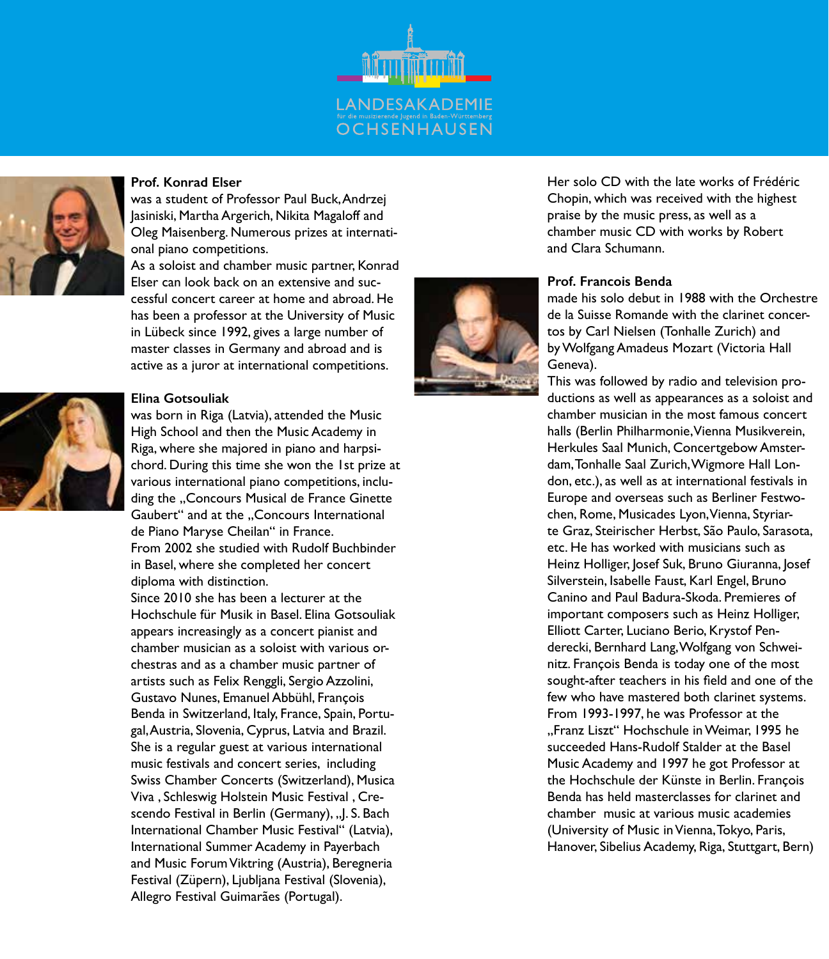



#### **Prof. Konrad Elser**

was a student of Professor Paul Buck, Andrzej Jasiniski, Martha Argerich, Nikita Magaloff and Oleg Maisenberg. Numerous prizes at international piano competitions.

As a soloist and chamber music partner, Konrad Elser can look back on an extensive and successful concert career at home and abroad. He has been a professor at the University of Music in Lübeck since 1992, gives a large number of master classes in Germany and abroad and is active as a juror at international competitions.



#### **Elina Gotsouliak**

was born in Riga (Latvia), attended the Music High School and then the Music Academy in Riga, where she majored in piano and harpsichord. During this time she won the 1st prize at various international piano competitions, including the ..Concours Musical de France Ginette Gaubert" and at the ..Concours International de Piano Maryse Cheilan" in France. From 2002 she studied with Rudolf Buchbinder in Basel, where she completed her concert diploma with distinction.

Since 2010 she has been a lecturer at the Hochschule für Musik in Basel. Elina Gotsouliak appears increasingly as a concert pianist and chamber musician as a soloist with various orchestras and as a chamber music partner of artists such as Felix Renggli, Sergio Azzolini, Gustavo Nunes, Emanuel Abbühl, François Benda in Switzerland, Italy, France, Spain, Portugal, Austria, Slovenia, Cyprus, Latvia and Brazil. She is a regular guest at various international music festivals and concert series, including Swiss Chamber Concerts (Switzerland), Musica Viva , Schleswig Holstein Music Festival , Crescendo Festival in Berlin (Germany), "J. S. Bach International Chamber Music Festival" (Latvia), International Summer Academy in Payerbach and Music Forum Viktring (Austria), Beregneria Festival (Züpern), Ljubljana Festival (Slovenia), Allegro Festival Guimarães (Portugal).

Her solo CD with the late works of Frédéric Chopin, which was received with the highest praise by the music press, as well as a chamber music CD with works by Robert and Clara Schumann.

#### **Prof. Francois Benda**

made his solo debut in 1988 with the Orchestre de la Suisse Romande with the clarinet concertos by Carl Nielsen (Tonhalle Zurich) and by Wolfgang Amadeus Mozart (Victoria Hall Geneva).

This was followed by radio and television productions as well as appearances as a soloist and chamber musician in the most famous concert halls (Berlin Philharmonie, Vienna Musikverein, Herkules Saal Munich, Concertgebow Amsterdam, Tonhalle Saal Zurich, Wigmore Hall London, etc.), as well as at international festivals in Europe and overseas such as Berliner Festwochen, Rome, Musicades Lyon, Vienna, Styriarte Graz, Steirischer Herbst, São Paulo, Sarasota, etc. He has worked with musicians such as Heinz Holliger, Josef Suk, Bruno Giuranna, Josef Silverstein, Isabelle Faust, Karl Engel, Bruno Canino and Paul Badura-Skoda. Premieres of important composers such as Heinz Holliger, Elliott Carter, Luciano Berio, Krystof Penderecki, Bernhard Lang, Wolfgang von Schweinitz. François Benda is today one of the most sought-after teachers in his field and one of the few who have mastered both clarinet systems. From 1993-1997, he was Professor at the ".Franz Liszt" Hochschule in Weimar, 1995 he succeeded Hans-Rudolf Stalder at the Basel Music Academy and 1997 he got Professor at the Hochschule der Künste in Berlin. François Benda has held masterclasses for clarinet and chamber music at various music academies (University of Music in Vienna, Tokyo, Paris, Hanover, Sibelius Academy, Riga, Stuttgart, Bern)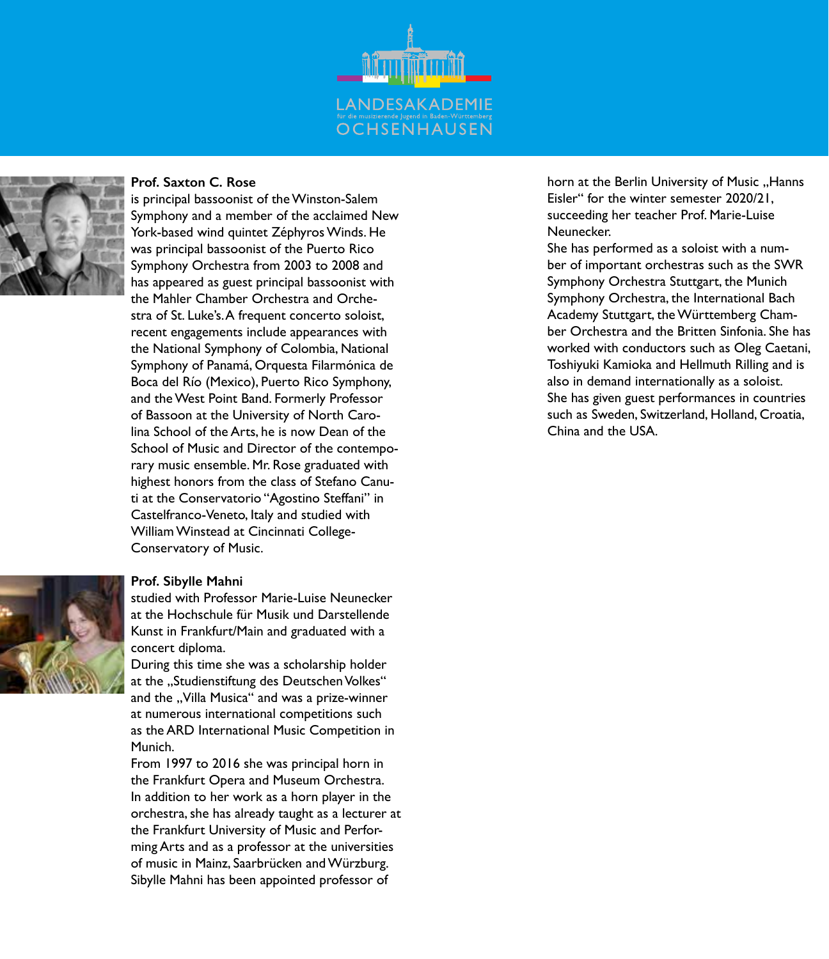



#### **Prof. Saxton C. Rose**

is principal bassoonist of the Winston-Salem Symphony and a member of the acclaimed New York-based wind quintet Zéphyros Winds. He was principal bassoonist of the Puerto Rico Symphony Orchestra from 2003 to 2008 and has appeared as guest principal bassoonist with the Mahler Chamber Orchestra and Orchestra of St. Luke's. A frequent concerto soloist, recent engagements include appearances with the National Symphony of Colombia, National Symphony of Panamá, Orquesta Filarmónica de Boca del Río (Mexico), Puerto Rico Symphony, and the West Point Band. Formerly Professor of Bassoon at the University of North Carolina School of the Arts, he is now Dean of the School of Music and Director of the contemporary music ensemble. Mr. Rose graduated with highest honors from the class of Stefano Canuti at the Conservatorio "Agostino Steffani" in Castelfranco-Veneto, Italy and studied with William Winstead at Cincinnati College-Conservatory of Music.

#### **Prof. Sibylle Mahni**

studied with Professor Marie-Luise Neunecker at the Hochschule für Musik und Darstellende Kunst in Frankfurt/Main and graduated with a concert diploma.

During this time she was a scholarship holder at the "Studienstiftung des Deutschen Volkes" and the "Villa Musica" and was a prize-winner at numerous international competitions such as the ARD International Music Competition in Munich.

From 1997 to 2016 she was principal horn in the Frankfurt Opera and Museum Orchestra. In addition to her work as a horn player in the orchestra, she has already taught as a lecturer at the Frankfurt University of Music and Performing Arts and as a professor at the universities of music in Mainz, Saarbrücken and Würzburg. Sibylle Mahni has been appointed professor of

horn at the Berlin University of Music "Hanns Eisler" for the winter semester 2020/21, succeeding her teacher Prof. Marie-Luise Neunecker.

She has performed as a soloist with a number of important orchestras such as the SWR Symphony Orchestra Stuttgart, the Munich Symphony Orchestra, the International Bach Academy Stuttgart, the Württemberg Chamber Orchestra and the Britten Sinfonia. She has worked with conductors such as Oleg Caetani, Toshiyuki Kamioka and Hellmuth Rilling and is also in demand internationally as a soloist. She has given guest performances in countries such as Sweden, Switzerland, Holland, Croatia, China and the USA.